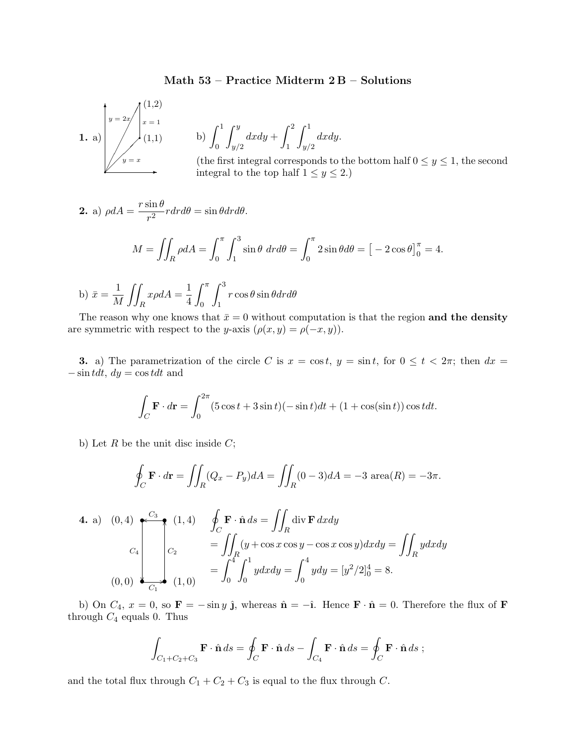## Math 53 – Practice Midterm 2 B – Solutions



b) 
$$
\int_0^1 \int_{y/2}^y dx dy + \int_1^2 \int_{y/2}^1 dx dy.
$$

(the first integral corresponds to the bottom half  $0 \le y \le 1$ , the second integral to the top half  $1 \le y \le 2$ .)

**2.** a) 
$$
\rho dA = \frac{r \sin \theta}{r^2} r dr d\theta = \sin \theta dr d\theta.
$$

$$
M = \iint_R \rho dA = \int_0^{\pi} \int_1^3 \sin \theta \, dr d\theta = \int_0^{\pi} 2 \sin \theta d\theta = \left[ -2 \cos \theta \right]_0^{\pi} = 4.
$$

b) 
$$
\bar{x} = \frac{1}{M} \iint_{R} x \rho dA = \frac{1}{4} \int_{0}^{\pi} \int_{1}^{3} r \cos \theta \sin \theta dr d\theta
$$

The reason why one knows that  $\bar{x} = 0$  without computation is that the region and the density are symmetric with respect to the y-axis  $(\rho(x, y) = \rho(-x, y)).$ 

**3.** a) The parametrization of the circle C is  $x = \cos t$ ,  $y = \sin t$ , for  $0 \le t < 2\pi$ ; then  $dx =$  $-\sin t dt$ ,  $dy = \cos t dt$  and

$$
\int_C \mathbf{F} \cdot d\mathbf{r} = \int_0^{2\pi} (5\cos t + 3\sin t)(-\sin t)dt + (1 + \cos(\sin t))\cos t dt.
$$

b) Let  $R$  be the unit disc inside  $C$ ;

$$
\oint_C \mathbf{F} \cdot d\mathbf{r} = \iint_R (Q_x - P_y) dA = \iint_R (0 - 3) dA = -3 \text{ area}(R) = -3\pi.
$$

4. a) (0, 4) 
$$
\oint_C \mathbf{F} \cdot \hat{\mathbf{n}} ds = \iint_R \text{div } \mathbf{F} \, dx dy
$$
  
\n
$$
C_4 \begin{bmatrix} C_3 \\ C_2 \end{bmatrix} \begin{cases} (1, 4) & \oint_C \mathbf{F} \cdot \hat{\mathbf{n}} ds = \iint_R \text{div } \mathbf{F} \, dx dy \\ C_2 & = \iint_R (y + \cos x \cos y - \cos x \cos y) dx dy = \iint_R y dx dy \\ = \int_0^4 \int_0^1 y dx dy = \int_0^4 y dy = [y^2/2]_0^4 = 8. \end{cases}
$$

b) On  $C_4$ ,  $x = 0$ , so  $\mathbf{F} = -\sin y$   $\hat{\mathbf{j}}$ , whereas  $\hat{\mathbf{n}} = -\hat{\mathbf{i}}$ . Hence  $\mathbf{F} \cdot \hat{\mathbf{n}} = 0$ . Therefore the flux of  $\mathbf{F}$ through  $C_4$  equals 0. Thus

$$
\int_{C_1+C_2+C_3} \mathbf{F} \cdot \hat{\mathbf{n}} ds = \oint_C \mathbf{F} \cdot \hat{\mathbf{n}} ds - \int_{C_4} \mathbf{F} \cdot \hat{\mathbf{n}} ds = \oint_C \mathbf{F} \cdot \hat{\mathbf{n}} ds ;
$$

and the total flux through  $C_1 + C_2 + C_3$  is equal to the flux through C.